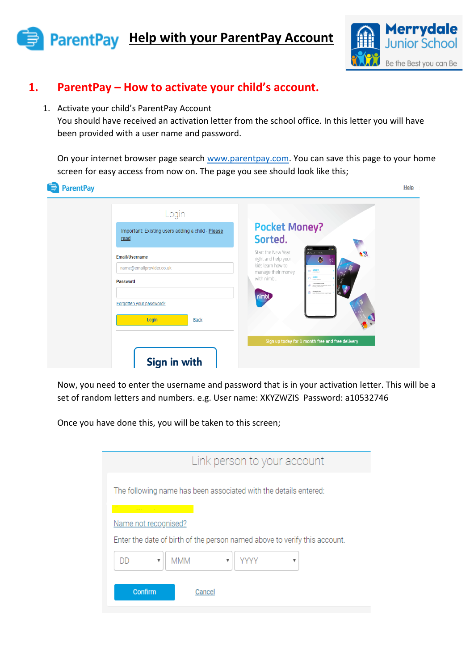# **ParentPay** Help with your ParentPay Account



Help

### **1. ParentPay – How to activate your child's account.**

1. Activate your child's ParentPay Account

You should have received an activation letter from the school office. In this letter you will have been provided with a user name and password.

On your internet browser page search [www.parentpay.com.](http://www.parentpay.com/) You can save this page to your home screen for easy access from now on. The page you see should look like this;

### **ParentPay**

| Login<br>Important: Existing users adding a child - Please<br>read | <b>Pocket Money?</b><br>Sorted.                                                                                                                                                                                                                                   |
|--------------------------------------------------------------------|-------------------------------------------------------------------------------------------------------------------------------------------------------------------------------------------------------------------------------------------------------------------|
| Email/Username<br>name@emailprovider.co.uk<br><b>Password</b>      | Start the New Year<br>Desidered Amelia<br>۹N)<br>right and help your<br>6<br>kids learn how to<br>ED 230.00<br>manage their money<br>60.00<br>with nimbl.<br>£2000 each month<br>Marditly product money is paid on<br><b>Ch</b> Pamphin<br>Contains and<br>nimbl. |
| Forgotten your password?<br>Login<br><b>Back</b><br>Sign in with   | Sign up today for 1 month free and free delivery                                                                                                                                                                                                                  |

Now, you need to enter the username and password that is in your activation letter. This will be a set of random letters and numbers. e.g. User name: XKYZWZIS Password: a10532746

Once you have done this, you will be taken to this screen;

| Link person to your account                                               |
|---------------------------------------------------------------------------|
| The following name has been associated with the details entered:          |
| Name not recognised?                                                      |
| Enter the date of birth of the person named above to verify this account. |
| <b>MMM</b><br>DD<br>v<br>▼                                                |
| Confirm<br>Cancel                                                         |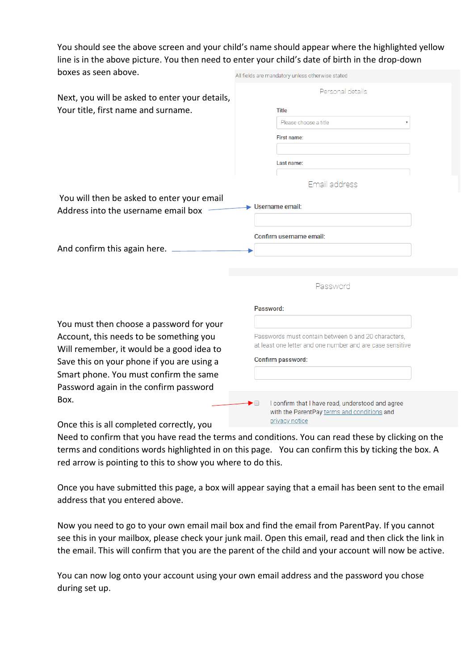You should see the above screen and your child's name should appear where the highlighted yellow line is in the above picture. You then need to enter your child's date of birth in the drop-down boxes as seen above. All fields are mandatory unless otherwise stated

| Next, you will be asked to enter your details, | Personal details                                                                                      |
|------------------------------------------------|-------------------------------------------------------------------------------------------------------|
|                                                | <b>Title</b>                                                                                          |
| Your title, first name and surname.            |                                                                                                       |
|                                                | Please choose a title                                                                                 |
|                                                | First name:                                                                                           |
|                                                |                                                                                                       |
|                                                | Last name:                                                                                            |
|                                                |                                                                                                       |
|                                                | Email address                                                                                         |
| You will then be asked to enter your email     | $\blacktriangleright$ Username email:                                                                 |
| Address into the username email box            |                                                                                                       |
|                                                |                                                                                                       |
|                                                | Confirm username email:                                                                               |
| And confirm this again here.                   |                                                                                                       |
|                                                |                                                                                                       |
|                                                |                                                                                                       |
|                                                | Password                                                                                              |
|                                                |                                                                                                       |
|                                                | Password:                                                                                             |
| You must then choose a password for your       |                                                                                                       |
| Account, this needs to be something you        | Passwords must contain between 6 and 20 characters.                                                   |
| Will remember, it would be a good idea to      | at least one letter and one number and are case sensitive                                             |
| Save this on your phone if you are using a     | Confirm password:                                                                                     |
| Smart phone. You must confirm the same         |                                                                                                       |
| Password again in the confirm password         |                                                                                                       |
| Box.                                           |                                                                                                       |
|                                                | I confirm that I have read, understood and agree<br>▶□<br>with the ParentPay terms and conditions and |
|                                                | nrivaev notice                                                                                        |

Once this is all completed correctly, you

Need to confirm that you have read the terms and conditions. You can read these by clicking on the terms and conditions words highlighted in on this page. You can confirm this by ticking the box. A red arrow is pointing to this to show you where to do this.

Once you have submitted this page, a box will appear saying that a email has been sent to the email address that you entered above.

Now you need to go to your own email mail box and find the email from ParentPay. If you cannot see this in your mailbox, please check your junk mail. Open this email, read and then click the link in the email. This will confirm that you are the parent of the child and your account will now be active.

You can now log onto your account using your own email address and the password you chose during set up.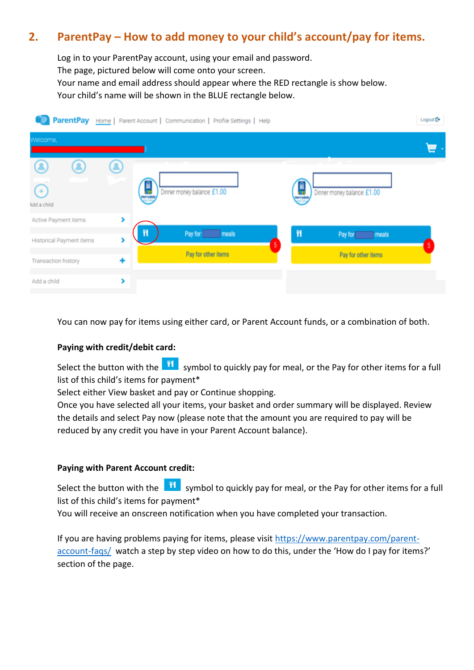## **2. ParentPay – How to add money to your child's account/pay for items.**

Log in to your ParentPay account, using your email and password. The page, pictured below will come onto your screen. Your name and email address should appear where the RED rectangle is show below. Your child's name will be shown in the BLUE rectangle below.

|                                                  |        | ParentPay Home   Parent Account   Communication   Profile Settings   Help |   |                             | Logout C+ |
|--------------------------------------------------|--------|---------------------------------------------------------------------------|---|-----------------------------|-----------|
| Welcome,                                         |        |                                                                           |   |                             |           |
| $^{(+)}$<br>Add a child                          | m      | Dinner money balance: £1.00                                               | Œ | Dinner money balance: £1.00 |           |
| Active Payment items<br>Historical Payment items | ×<br>, | Pay for : meals<br>5                                                      | π | Pay for<br>meals            |           |
| <b>Transaction history</b>                       | ٠      | Pay for other items                                                       |   | Pay for other items         |           |
| Add a child                                      | >      |                                                                           |   |                             |           |

You can now pay for items using either card, or Parent Account funds, or a combination of both.

#### **Paying with credit/debit card:**

Select the button with the **11** symbol to quickly pay for meal, or the Pay for other items for a full list of this child's items for payment\*

Select either View basket and pay or Continue shopping.

Once you have selected all your items, your basket and order summary will be displayed. Review the details and select Pay now (please note that the amount you are required to pay will be reduced by any credit you have in your Parent Account balance).

#### **Paying with Parent Account credit:**

Select the button with the  $\frac{11}{11}$  symbol to quickly pay for meal, or the Pay for other items for a full list of this child's items for payment\*

You will receive an onscreen notification when you have completed your transaction.

If you are having problems paying for items, please visit [https://www.parentpay.com/parent](https://www.parentpay.com/parent-account-faqs/)[account-faqs/](https://www.parentpay.com/parent-account-faqs/) watch a step by step video on how to do this, under the 'How do I pay for items?' section of the page.